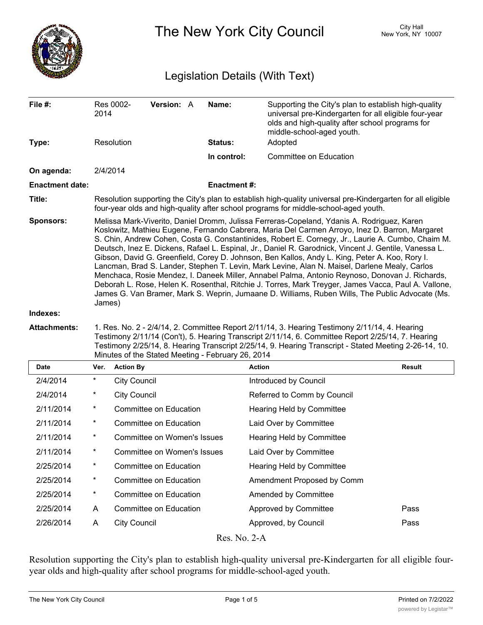

The New York City Council New York, NY 10007

# Legislation Details (With Text)

| File #:                | 2014                                                                                                                                                                                                                                                                                                                                                                                                                                                                                                                                                                                                                                                                                                                                                                                                                                                                                                                                | Res 0002-           | Version: A                         |  | Name:              | Supporting the City's plan to establish high-quality<br>universal pre-Kindergarten for all eligible four-year<br>olds and high-quality after school programs for<br>middle-school-aged youth. |               |
|------------------------|-------------------------------------------------------------------------------------------------------------------------------------------------------------------------------------------------------------------------------------------------------------------------------------------------------------------------------------------------------------------------------------------------------------------------------------------------------------------------------------------------------------------------------------------------------------------------------------------------------------------------------------------------------------------------------------------------------------------------------------------------------------------------------------------------------------------------------------------------------------------------------------------------------------------------------------|---------------------|------------------------------------|--|--------------------|-----------------------------------------------------------------------------------------------------------------------------------------------------------------------------------------------|---------------|
| Type:                  |                                                                                                                                                                                                                                                                                                                                                                                                                                                                                                                                                                                                                                                                                                                                                                                                                                                                                                                                     | Resolution          |                                    |  | Status:            | Adopted                                                                                                                                                                                       |               |
|                        |                                                                                                                                                                                                                                                                                                                                                                                                                                                                                                                                                                                                                                                                                                                                                                                                                                                                                                                                     |                     |                                    |  | In control:        | <b>Committee on Education</b>                                                                                                                                                                 |               |
| On agenda:             | 2/4/2014                                                                                                                                                                                                                                                                                                                                                                                                                                                                                                                                                                                                                                                                                                                                                                                                                                                                                                                            |                     |                                    |  |                    |                                                                                                                                                                                               |               |
| <b>Enactment date:</b> |                                                                                                                                                                                                                                                                                                                                                                                                                                                                                                                                                                                                                                                                                                                                                                                                                                                                                                                                     |                     |                                    |  | <b>Enactment#:</b> |                                                                                                                                                                                               |               |
| Title:                 | Resolution supporting the City's plan to establish high-quality universal pre-Kindergarten for all eligible<br>four-year olds and high-quality after school programs for middle-school-aged youth.                                                                                                                                                                                                                                                                                                                                                                                                                                                                                                                                                                                                                                                                                                                                  |                     |                                    |  |                    |                                                                                                                                                                                               |               |
| <b>Sponsors:</b>       | Melissa Mark-Viverito, Daniel Dromm, Julissa Ferreras-Copeland, Ydanis A. Rodriguez, Karen<br>Koslowitz, Mathieu Eugene, Fernando Cabrera, Maria Del Carmen Arroyo, Inez D. Barron, Margaret<br>S. Chin, Andrew Cohen, Costa G. Constantinides, Robert E. Cornegy, Jr., Laurie A. Cumbo, Chaim M.<br>Deutsch, Inez E. Dickens, Rafael L. Espinal, Jr., Daniel R. Garodnick, Vincent J. Gentile, Vanessa L.<br>Gibson, David G. Greenfield, Corey D. Johnson, Ben Kallos, Andy L. King, Peter A. Koo, Rory I.<br>Lancman, Brad S. Lander, Stephen T. Levin, Mark Levine, Alan N. Maisel, Darlene Mealy, Carlos<br>Menchaca, Rosie Mendez, I. Daneek Miller, Annabel Palma, Antonio Reynoso, Donovan J. Richards,<br>Deborah L. Rose, Helen K. Rosenthal, Ritchie J. Torres, Mark Treyger, James Vacca, Paul A. Vallone,<br>James G. Van Bramer, Mark S. Weprin, Jumaane D. Williams, Ruben Wills, The Public Advocate (Ms.<br>James) |                     |                                    |  |                    |                                                                                                                                                                                               |               |
| Indexes:               |                                                                                                                                                                                                                                                                                                                                                                                                                                                                                                                                                                                                                                                                                                                                                                                                                                                                                                                                     |                     |                                    |  |                    |                                                                                                                                                                                               |               |
| <b>Attachments:</b>    | 1. Res. No. 2 - 2/4/14, 2. Committee Report 2/11/14, 3. Hearing Testimony 2/11/14, 4. Hearing<br>Testimony 2/11/14 (Con't), 5. Hearing Transcript 2/11/14, 6. Committee Report 2/25/14, 7. Hearing<br>Testimony 2/25/14, 8. Hearing Transcript 2/25/14, 9. Hearing Transcript - Stated Meeting 2-26-14, 10.<br>Minutes of the Stated Meeting - February 26, 2014                                                                                                                                                                                                                                                                                                                                                                                                                                                                                                                                                                    |                     |                                    |  |                    |                                                                                                                                                                                               |               |
| <b>Date</b>            | Ver.                                                                                                                                                                                                                                                                                                                                                                                                                                                                                                                                                                                                                                                                                                                                                                                                                                                                                                                                | <b>Action By</b>    |                                    |  |                    | <b>Action</b>                                                                                                                                                                                 | <b>Result</b> |
| 2/4/2014               | $\star$                                                                                                                                                                                                                                                                                                                                                                                                                                                                                                                                                                                                                                                                                                                                                                                                                                                                                                                             | <b>City Council</b> |                                    |  |                    | Introduced by Council                                                                                                                                                                         |               |
| 2/4/2014               | $^\star$                                                                                                                                                                                                                                                                                                                                                                                                                                                                                                                                                                                                                                                                                                                                                                                                                                                                                                                            | <b>City Council</b> |                                    |  |                    | Referred to Comm by Council                                                                                                                                                                   |               |
| 2/11/2014              | $^\star$                                                                                                                                                                                                                                                                                                                                                                                                                                                                                                                                                                                                                                                                                                                                                                                                                                                                                                                            |                     | <b>Committee on Education</b>      |  |                    | Hearing Held by Committee                                                                                                                                                                     |               |
| 2/11/2014              | $\star$                                                                                                                                                                                                                                                                                                                                                                                                                                                                                                                                                                                                                                                                                                                                                                                                                                                                                                                             |                     | <b>Committee on Education</b>      |  |                    | Laid Over by Committee                                                                                                                                                                        |               |
| 2/11/2014              | $\ast$                                                                                                                                                                                                                                                                                                                                                                                                                                                                                                                                                                                                                                                                                                                                                                                                                                                                                                                              |                     | <b>Committee on Women's Issues</b> |  |                    | Hearing Held by Committee                                                                                                                                                                     |               |
| 2/11/2014              |                                                                                                                                                                                                                                                                                                                                                                                                                                                                                                                                                                                                                                                                                                                                                                                                                                                                                                                                     |                     | Committee on Women's Issues        |  |                    | Laid Over by Committee                                                                                                                                                                        |               |
| 2/25/2014              | $\star$                                                                                                                                                                                                                                                                                                                                                                                                                                                                                                                                                                                                                                                                                                                                                                                                                                                                                                                             |                     | Committee on Education             |  |                    |                                                                                                                                                                                               |               |
| 2/25/2014              | $\star$                                                                                                                                                                                                                                                                                                                                                                                                                                                                                                                                                                                                                                                                                                                                                                                                                                                                                                                             |                     | Committee on Education             |  |                    | Hearing Held by Committee                                                                                                                                                                     |               |
| 2/25/2014              | $\star$                                                                                                                                                                                                                                                                                                                                                                                                                                                                                                                                                                                                                                                                                                                                                                                                                                                                                                                             |                     |                                    |  |                    | Amendment Proposed by Comm                                                                                                                                                                    |               |
| 2/25/2014              |                                                                                                                                                                                                                                                                                                                                                                                                                                                                                                                                                                                                                                                                                                                                                                                                                                                                                                                                     |                     | Committee on Education             |  |                    | Amended by Committee                                                                                                                                                                          |               |
|                        | A                                                                                                                                                                                                                                                                                                                                                                                                                                                                                                                                                                                                                                                                                                                                                                                                                                                                                                                                   |                     | Committee on Education             |  |                    | Approved by Committee                                                                                                                                                                         | Pass          |

Res. No. 2-A

Resolution supporting the City's plan to establish high-quality universal pre-Kindergarten for all eligible fouryear olds and high-quality after school programs for middle-school-aged youth.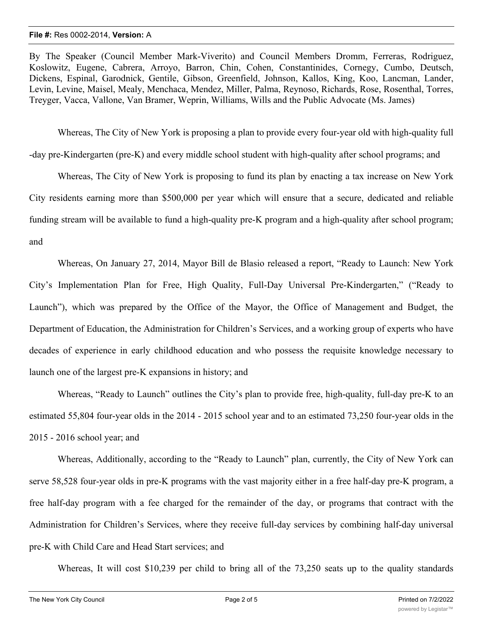By The Speaker (Council Member Mark-Viverito) and Council Members Dromm, Ferreras, Rodriguez, Koslowitz, Eugene, Cabrera, Arroyo, Barron, Chin, Cohen, Constantinides, Cornegy, Cumbo, Deutsch, Dickens, Espinal, Garodnick, Gentile, Gibson, Greenfield, Johnson, Kallos, King, Koo, Lancman, Lander, Levin, Levine, Maisel, Mealy, Menchaca, Mendez, Miller, Palma, Reynoso, Richards, Rose, Rosenthal, Torres, Treyger, Vacca, Vallone, Van Bramer, Weprin, Williams, Wills and the Public Advocate (Ms. James)

Whereas, The City of New York is proposing a plan to provide every four-year old with high-quality full

-day pre-Kindergarten (pre-K) and every middle school student with high-quality after school programs; and

Whereas, The City of New York is proposing to fund its plan by enacting a tax increase on New York City residents earning more than \$500,000 per year which will ensure that a secure, dedicated and reliable funding stream will be available to fund a high-quality pre-K program and a high-quality after school program; and

Whereas, On January 27, 2014, Mayor Bill de Blasio released a report, "Ready to Launch: New York City's Implementation Plan for Free, High Quality, Full-Day Universal Pre-Kindergarten," ("Ready to Launch"), which was prepared by the Office of the Mayor, the Office of Management and Budget, the Department of Education, the Administration for Children's Services, and a working group of experts who have decades of experience in early childhood education and who possess the requisite knowledge necessary to launch one of the largest pre-K expansions in history; and

Whereas, "Ready to Launch" outlines the City's plan to provide free, high-quality, full-day pre-K to an estimated 55,804 four-year olds in the 2014 - 2015 school year and to an estimated 73,250 four-year olds in the 2015 - 2016 school year; and

Whereas, Additionally, according to the "Ready to Launch" plan, currently, the City of New York can serve 58,528 four-year olds in pre-K programs with the vast majority either in a free half-day pre-K program, a free half-day program with a fee charged for the remainder of the day, or programs that contract with the Administration for Children's Services, where they receive full-day services by combining half-day universal pre-K with Child Care and Head Start services; and

Whereas, It will cost \$10,239 per child to bring all of the 73,250 seats up to the quality standards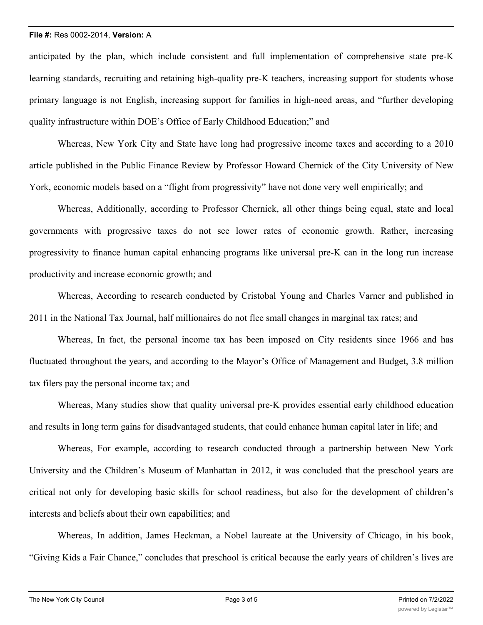anticipated by the plan, which include consistent and full implementation of comprehensive state pre-K learning standards, recruiting and retaining high-quality pre-K teachers, increasing support for students whose primary language is not English, increasing support for families in high-need areas, and "further developing quality infrastructure within DOE's Office of Early Childhood Education;" and

Whereas, New York City and State have long had progressive income taxes and according to a 2010 article published in the Public Finance Review by Professor Howard Chernick of the City University of New York, economic models based on a "flight from progressivity" have not done very well empirically; and

Whereas, Additionally, according to Professor Chernick, all other things being equal, state and local governments with progressive taxes do not see lower rates of economic growth. Rather, increasing progressivity to finance human capital enhancing programs like universal pre-K can in the long run increase productivity and increase economic growth; and

Whereas, According to research conducted by Cristobal Young and Charles Varner and published in 2011 in the National Tax Journal, half millionaires do not flee small changes in marginal tax rates; and

Whereas, In fact, the personal income tax has been imposed on City residents since 1966 and has fluctuated throughout the years, and according to the Mayor's Office of Management and Budget, 3.8 million tax filers pay the personal income tax; and

Whereas, Many studies show that quality universal pre-K provides essential early childhood education and results in long term gains for disadvantaged students, that could enhance human capital later in life; and

Whereas, For example, according to research conducted through a partnership between New York University and the Children's Museum of Manhattan in 2012, it was concluded that the preschool years are critical not only for developing basic skills for school readiness, but also for the development of children's interests and beliefs about their own capabilities; and

Whereas, In addition, James Heckman, a Nobel laureate at the University of Chicago, in his book, "Giving Kids a Fair Chance," concludes that preschool is critical because the early years of children's lives are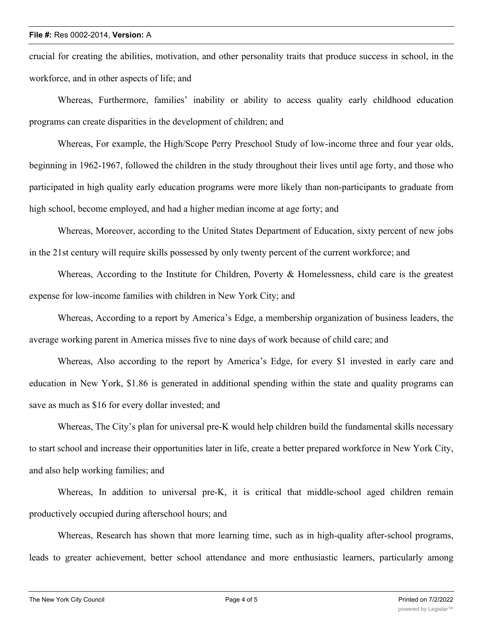crucial for creating the abilities, motivation, and other personality traits that produce success in school, in the workforce, and in other aspects of life; and

Whereas, Furthermore, families' inability or ability to access quality early childhood education programs can create disparities in the development of children; and

Whereas, For example, the High/Scope Perry Preschool Study of low-income three and four year olds, beginning in 1962-1967, followed the children in the study throughout their lives until age forty, and those who participated in high quality early education programs were more likely than non-participants to graduate from high school, become employed, and had a higher median income at age forty; and

Whereas, Moreover, according to the United States Department of Education, sixty percent of new jobs in the 21st century will require skills possessed by only twenty percent of the current workforce; and

Whereas, According to the Institute for Children, Poverty & Homelessness, child care is the greatest expense for low-income families with children in New York City; and

Whereas, According to a report by America's Edge, a membership organization of business leaders, the average working parent in America misses five to nine days of work because of child care; and

Whereas, Also according to the report by America's Edge, for every \$1 invested in early care and education in New York, \$1.86 is generated in additional spending within the state and quality programs can save as much as \$16 for every dollar invested; and

Whereas, The City's plan for universal pre-K would help children build the fundamental skills necessary to start school and increase their opportunities later in life, create a better prepared workforce in New York City, and also help working families; and

Whereas, In addition to universal pre-K, it is critical that middle-school aged children remain productively occupied during afterschool hours; and

Whereas, Research has shown that more learning time, such as in high-quality after-school programs, leads to greater achievement, better school attendance and more enthusiastic learners, particularly among